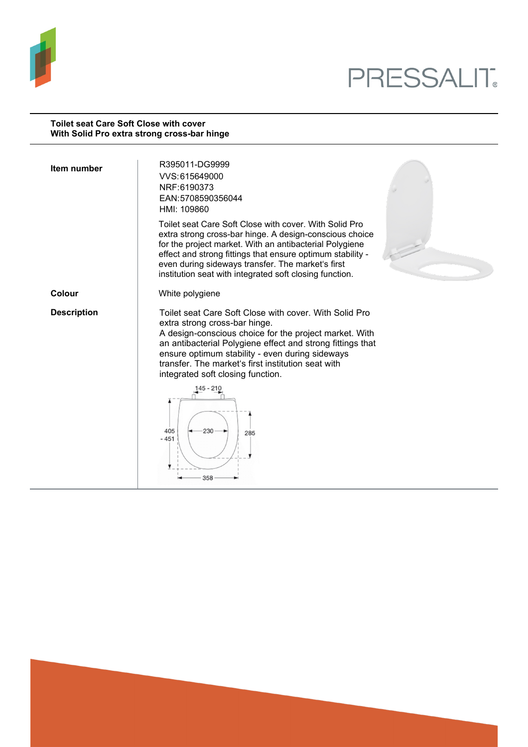

# PRESSALIT.

#### **Toilet seat Care Soft Close with cover With Solid Pro extra strong cross-bar hinge**

| Item number        | R395011-DG9999<br>VVS: 615649000<br>NRF:6190373<br>EAN:5708590356044<br>HMI: 109860                                                                                                                                                                                                                                                                           |
|--------------------|---------------------------------------------------------------------------------------------------------------------------------------------------------------------------------------------------------------------------------------------------------------------------------------------------------------------------------------------------------------|
|                    | Toilet seat Care Soft Close with cover. With Solid Pro<br>extra strong cross-bar hinge. A design-conscious choice<br>for the project market. With an antibacterial Polygiene<br>effect and strong fittings that ensure optimum stability -<br>even during sideways transfer. The market's first<br>institution seat with integrated soft closing function.    |
| Colour             | White polygiene                                                                                                                                                                                                                                                                                                                                               |
| <b>Description</b> | Toilet seat Care Soft Close with cover. With Solid Pro<br>extra strong cross-bar hinge.<br>A design-conscious choice for the project market. With<br>an antibacterial Polygiene effect and strong fittings that<br>ensure optimum stability - even during sideways<br>transfer. The market's first institution seat with<br>integrated soft closing function. |
|                    | 405<br>230<br>285<br>$-451$<br>358                                                                                                                                                                                                                                                                                                                            |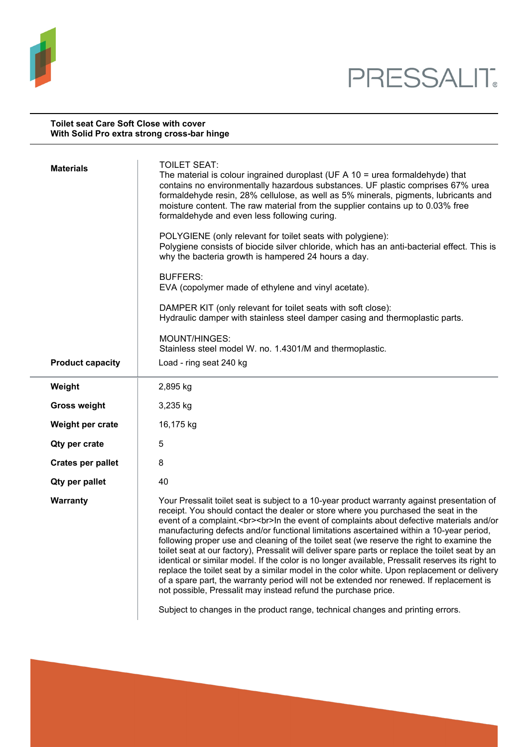

#### **Toilet seat Care Soft Close with cover With Solid Pro extra strong cross-bar hinge**

| <b>Materials</b>         | <b>TOILET SEAT:</b><br>The material is colour ingrained duroplast (UF A $10 =$ urea formaldehyde) that<br>contains no environmentally hazardous substances. UF plastic comprises 67% urea<br>formaldehyde resin, 28% cellulose, as well as 5% minerals, pigments, lubricants and<br>moisture content. The raw material from the supplier contains up to 0.03% free<br>formaldehyde and even less following curing.                                                                                                                                                                                                                                                                                                                                                                                                                                                                                                                            |
|--------------------------|-----------------------------------------------------------------------------------------------------------------------------------------------------------------------------------------------------------------------------------------------------------------------------------------------------------------------------------------------------------------------------------------------------------------------------------------------------------------------------------------------------------------------------------------------------------------------------------------------------------------------------------------------------------------------------------------------------------------------------------------------------------------------------------------------------------------------------------------------------------------------------------------------------------------------------------------------|
|                          | POLYGIENE (only relevant for toilet seats with polygiene):<br>Polygiene consists of biocide silver chloride, which has an anti-bacterial effect. This is<br>why the bacteria growth is hampered 24 hours a day.                                                                                                                                                                                                                                                                                                                                                                                                                                                                                                                                                                                                                                                                                                                               |
|                          | <b>BUFFERS:</b><br>EVA (copolymer made of ethylene and vinyl acetate).                                                                                                                                                                                                                                                                                                                                                                                                                                                                                                                                                                                                                                                                                                                                                                                                                                                                        |
|                          | DAMPER KIT (only relevant for toilet seats with soft close):<br>Hydraulic damper with stainless steel damper casing and thermoplastic parts.                                                                                                                                                                                                                                                                                                                                                                                                                                                                                                                                                                                                                                                                                                                                                                                                  |
|                          | MOUNT/HINGES:<br>Stainless steel model W. no. 1.4301/M and thermoplastic.                                                                                                                                                                                                                                                                                                                                                                                                                                                                                                                                                                                                                                                                                                                                                                                                                                                                     |
| <b>Product capacity</b>  | Load - ring seat 240 kg                                                                                                                                                                                                                                                                                                                                                                                                                                                                                                                                                                                                                                                                                                                                                                                                                                                                                                                       |
| Weight                   | 2,895 kg                                                                                                                                                                                                                                                                                                                                                                                                                                                                                                                                                                                                                                                                                                                                                                                                                                                                                                                                      |
| <b>Gross weight</b>      | 3,235 kg                                                                                                                                                                                                                                                                                                                                                                                                                                                                                                                                                                                                                                                                                                                                                                                                                                                                                                                                      |
| Weight per crate         | 16,175 kg                                                                                                                                                                                                                                                                                                                                                                                                                                                                                                                                                                                                                                                                                                                                                                                                                                                                                                                                     |
| Qty per crate            | 5                                                                                                                                                                                                                                                                                                                                                                                                                                                                                                                                                                                                                                                                                                                                                                                                                                                                                                                                             |
| <b>Crates per pallet</b> | 8                                                                                                                                                                                                                                                                                                                                                                                                                                                                                                                                                                                                                                                                                                                                                                                                                                                                                                                                             |
| Qty per pallet           | 40                                                                                                                                                                                                                                                                                                                                                                                                                                                                                                                                                                                                                                                                                                                                                                                                                                                                                                                                            |
| Warranty                 | Your Pressalit toilet seat is subject to a 10-year product warranty against presentation of<br>receipt. You should contact the dealer or store where you purchased the seat in the<br>event of a complaint.<br>>>br>In the event of complaints about defective materials and/or<br>manufacturing defects and/or functional limitations ascertained within a 10-year period,<br>following proper use and cleaning of the toilet seat (we reserve the right to examine the<br>toilet seat at our factory), Pressalit will deliver spare parts or replace the toilet seat by an<br>identical or similar model. If the color is no longer available, Pressalit reserves its right to<br>replace the toilet seat by a similar model in the color white. Upon replacement or delivery<br>of a spare part, the warranty period will not be extended nor renewed. If replacement is<br>not possible, Pressalit may instead refund the purchase price. |